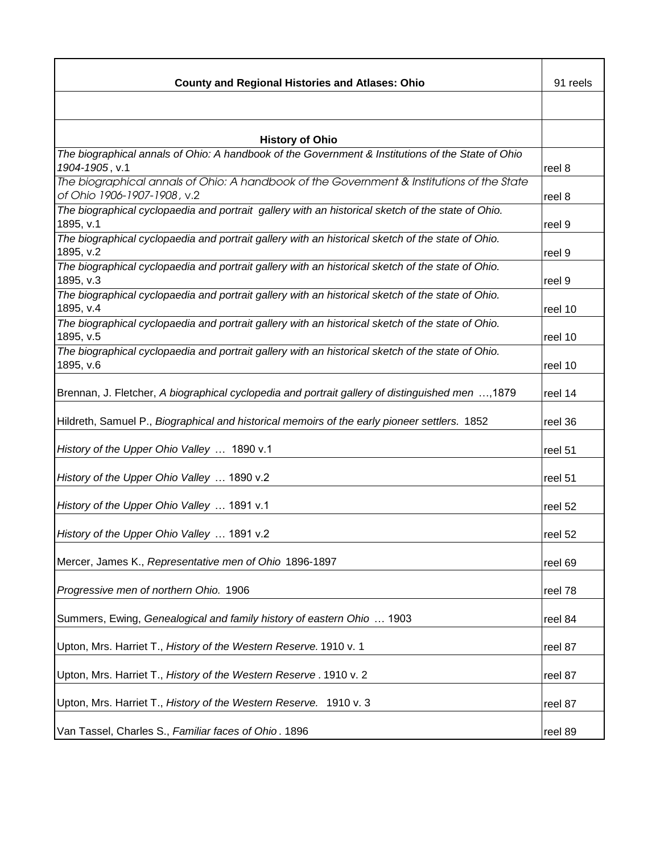| <b>County and Regional Histories and Atlases: Ohio</b>                                                                   | 91 reels |
|--------------------------------------------------------------------------------------------------------------------------|----------|
|                                                                                                                          |          |
| <b>History of Ohio</b>                                                                                                   |          |
| The biographical annals of Ohio: A handbook of the Government & Institutions of the State of Ohio<br>1904-1905, v.1      | reel 8   |
| The biographical annals of Ohio: A handbook of the Government & Institutions of the State<br>of Ohio 1906-1907-1908, v.2 | reel 8   |
| The biographical cyclopaedia and portrait gallery with an historical sketch of the state of Ohio.<br>1895, v.1           | reel 9   |
| The biographical cyclopaedia and portrait gallery with an historical sketch of the state of Ohio.<br>1895, v.2           | reel 9   |
| The biographical cyclopaedia and portrait gallery with an historical sketch of the state of Ohio.<br>1895, v.3           | reel 9   |
| The biographical cyclopaedia and portrait gallery with an historical sketch of the state of Ohio.<br>1895, v.4           | reel 10  |
| The biographical cyclopaedia and portrait gallery with an historical sketch of the state of Ohio.<br>1895, v.5           | reel 10  |
| The biographical cyclopaedia and portrait gallery with an historical sketch of the state of Ohio.<br>1895, v.6           | reel 10  |
| Brennan, J. Fletcher, A biographical cyclopedia and portrait gallery of distinguished men , 1879                         | reel 14  |
| Hildreth, Samuel P., Biographical and historical memoirs of the early pioneer settlers. 1852                             | reel 36  |
| History of the Upper Ohio Valley  1890 v.1                                                                               | reel 51  |
| History of the Upper Ohio Valley  1890 v.2                                                                               | reel 51  |
| History of the Upper Ohio Valley  1891 v.1                                                                               | reel 52  |
| History of the Upper Ohio Valley  1891 v.2                                                                               | reel 52  |
| Mercer, James K., Representative men of Ohio 1896-1897                                                                   | reel 69  |
| Progressive men of northern Ohio. 1906                                                                                   | reel 78  |
| Summers, Ewing, Genealogical and family history of eastern Ohio  1903                                                    | reel 84  |
| Upton, Mrs. Harriet T., History of the Western Reserve. 1910 v. 1                                                        | reel 87  |
| Upton, Mrs. Harriet T., History of the Western Reserve. 1910 v. 2                                                        | reel 87  |
| Upton, Mrs. Harriet T., History of the Western Reserve. 1910 v. 3                                                        | reel 87  |
| Van Tassel, Charles S., Familiar faces of Ohio. 1896                                                                     | reel 89  |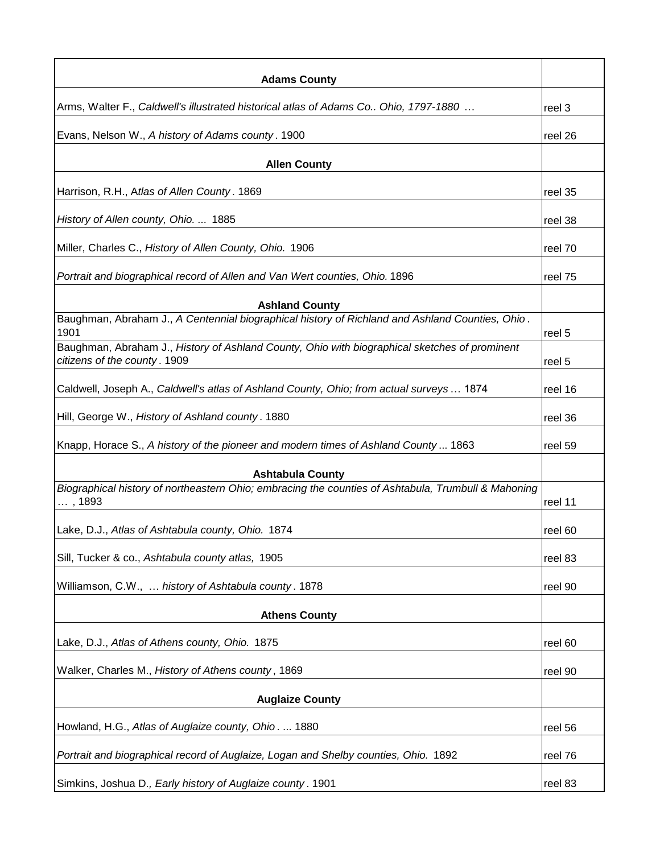| <b>Adams County</b>                                                                                                           |         |
|-------------------------------------------------------------------------------------------------------------------------------|---------|
| Arms, Walter F., Caldwell's illustrated historical atlas of Adams Co Ohio, 1797-1880                                          | reel 3  |
| Evans, Nelson W., A history of Adams county. 1900                                                                             | reel 26 |
| <b>Allen County</b>                                                                                                           |         |
| Harrison, R.H., Atlas of Allen County. 1869                                                                                   | reel 35 |
| History of Allen county, Ohio.  1885                                                                                          | reel 38 |
| Miller, Charles C., History of Allen County, Ohio. 1906                                                                       | reel 70 |
| Portrait and biographical record of Allen and Van Wert counties, Ohio. 1896                                                   | reel 75 |
| <b>Ashland County</b>                                                                                                         |         |
| Baughman, Abraham J., A Centennial biographical history of Richland and Ashland Counties, Ohio.<br>1901                       | reel 5  |
| Baughman, Abraham J., History of Ashland County, Ohio with biographical sketches of prominent<br>citizens of the county. 1909 | reel 5  |
| Caldwell, Joseph A., Caldwell's atlas of Ashland County, Ohio; from actual surveys  1874                                      | reel 16 |
| Hill, George W., History of Ashland county. 1880                                                                              | reel 36 |
| Knapp, Horace S., A history of the pioneer and modern times of Ashland County 1863                                            | reel 59 |
| <b>Ashtabula County</b>                                                                                                       |         |
| Biographical history of northeastern Ohio; embracing the counties of Ashtabula, Trumbull & Mahoning<br>,1893                  | reel 11 |
| Lake, D.J., Atlas of Ashtabula county, Ohio. 1874                                                                             | reel 60 |
| Sill, Tucker & co., Ashtabula county atlas, 1905                                                                              | reel 83 |
| Williamson, C.W.,  history of Ashtabula county. 1878                                                                          | reel 90 |
| <b>Athens County</b>                                                                                                          |         |
| Lake, D.J., Atlas of Athens county, Ohio. 1875                                                                                | reel 60 |
| Walker, Charles M., History of Athens county, 1869                                                                            | reel 90 |
| <b>Auglaize County</b>                                                                                                        |         |
|                                                                                                                               |         |
| Howland, H.G., Atlas of Auglaize county, Ohio.  1880                                                                          | reel 56 |
| Portrait and biographical record of Auglaize, Logan and Shelby counties, Ohio. 1892                                           | reel 76 |
| Simkins, Joshua D., Early history of Auglaize county. 1901                                                                    | reel 83 |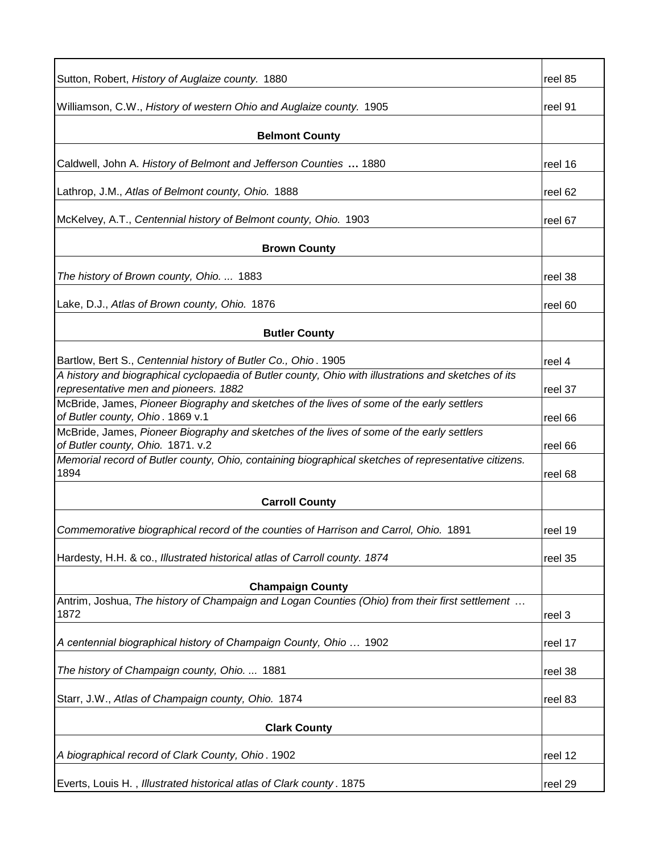| Sutton, Robert, History of Auglaize county. 1880                                                                                              | reel 85 |
|-----------------------------------------------------------------------------------------------------------------------------------------------|---------|
| Williamson, C.W., History of western Ohio and Auglaize county. 1905                                                                           | reel 91 |
| <b>Belmont County</b>                                                                                                                         |         |
| Caldwell, John A. History of Belmont and Jefferson Counties  1880                                                                             | reel 16 |
| Lathrop, J.M., Atlas of Belmont county, Ohio. 1888                                                                                            | reel 62 |
| McKelvey, A.T., Centennial history of Belmont county, Ohio. 1903                                                                              | reel 67 |
| <b>Brown County</b>                                                                                                                           |         |
| The history of Brown county, Ohio.  1883                                                                                                      | reel 38 |
| Lake, D.J., Atlas of Brown county, Ohio. 1876                                                                                                 | reel 60 |
| <b>Butler County</b>                                                                                                                          |         |
| Bartlow, Bert S., Centennial history of Butler Co., Ohio. 1905                                                                                | reel 4  |
| A history and biographical cyclopaedia of Butler county, Ohio with illustrations and sketches of its<br>representative men and pioneers. 1882 | reel 37 |
| McBride, James, Pioneer Biography and sketches of the lives of some of the early settlers<br>of Butler county, Ohio. 1869 v.1                 | reel 66 |
| McBride, James, Pioneer Biography and sketches of the lives of some of the early settlers<br>of Butler county, Ohio. 1871. v.2                | reel 66 |
| Memorial record of Butler county, Ohio, containing biographical sketches of representative citizens.<br>1894                                  | reel 68 |
| <b>Carroll County</b>                                                                                                                         |         |
| Commemorative biographical record of the counties of Harrison and Carrol, Ohio. 1891                                                          | reel 19 |
| Hardesty, H.H. & co., Illustrated historical atlas of Carroll county. 1874                                                                    | reel 35 |
| <b>Champaign County</b>                                                                                                                       |         |
| Antrim, Joshua, The history of Champaign and Logan Counties (Ohio) from their first settlement<br>1872                                        | reel 3  |
| A centennial biographical history of Champaign County, Ohio  1902                                                                             | reel 17 |
| The history of Champaign county, Ohio.  1881                                                                                                  | reel 38 |
| Starr, J.W., Atlas of Champaign county, Ohio. 1874                                                                                            | reel 83 |
| <b>Clark County</b>                                                                                                                           |         |
| A biographical record of Clark County, Ohio. 1902                                                                                             | reel 12 |
| Everts, Louis H., Illustrated historical atlas of Clark county. 1875                                                                          | reel 29 |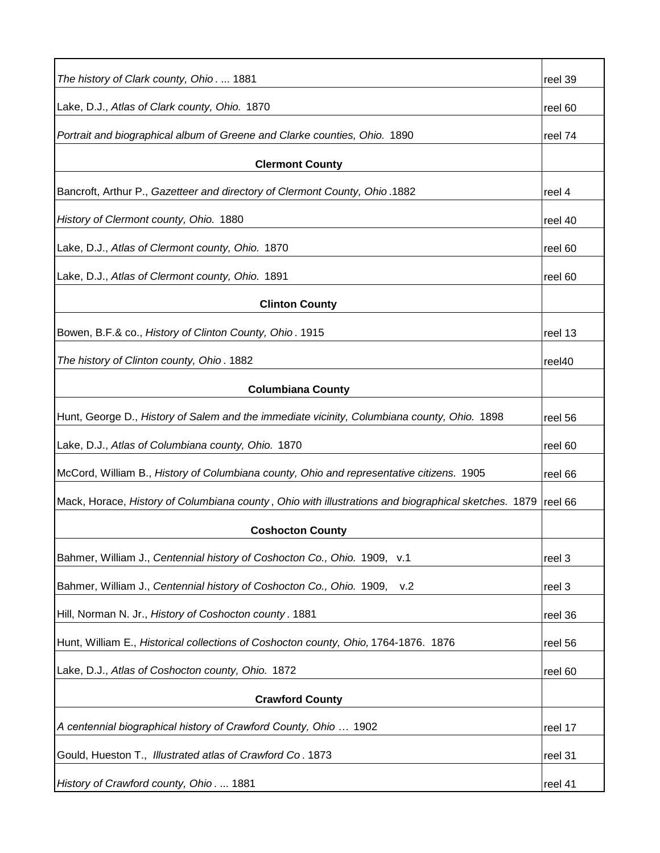| The history of Clark county, Ohio.  1881                                                            | reel 39 |
|-----------------------------------------------------------------------------------------------------|---------|
| Lake, D.J., Atlas of Clark county, Ohio. 1870                                                       | reel 60 |
| Portrait and biographical album of Greene and Clarke counties, Ohio. 1890                           | reel 74 |
| <b>Clermont County</b>                                                                              |         |
| Bancroft, Arthur P., Gazetteer and directory of Clermont County, Ohio.1882                          | reel 4  |
| History of Clermont county, Ohio. 1880                                                              | reel 40 |
| Lake, D.J., Atlas of Clermont county, Ohio. 1870                                                    | reel 60 |
| Lake, D.J., Atlas of Clermont county, Ohio. 1891                                                    | reel 60 |
| <b>Clinton County</b>                                                                               |         |
| Bowen, B.F.& co., History of Clinton County, Ohio. 1915                                             | reel 13 |
| The history of Clinton county, Ohio. 1882                                                           | reel40  |
| <b>Columbiana County</b>                                                                            |         |
| Hunt, George D., History of Salem and the immediate vicinity, Columbiana county, Ohio. 1898         | reel 56 |
| Lake, D.J., Atlas of Columbiana county, Ohio. 1870                                                  | reel 60 |
| McCord, William B., History of Columbiana county, Ohio and representative citizens. 1905            | reel 66 |
| Mack, Horace, History of Columbiana county, Ohio with illustrations and biographical sketches. 1879 | reel 66 |
| <b>Coshocton County</b>                                                                             |         |
| Bahmer, William J., Centennial history of Coshocton Co., Ohio. 1909, v.1                            | reel 3  |
| Bahmer, William J., Centennial history of Coshocton Co., Ohio. 1909,<br>v.2                         | reel 3  |
| Hill, Norman N. Jr., History of Coshocton county. 1881                                              | reel 36 |
| Hunt, William E., Historical collections of Coshocton county, Ohio, 1764-1876. 1876                 | reel 56 |
| Lake, D.J., Atlas of Coshocton county, Ohio. 1872                                                   | reel 60 |
| <b>Crawford County</b>                                                                              |         |
| A centennial biographical history of Crawford County, Ohio  1902                                    | reel 17 |
| Gould, Hueston T., Illustrated atlas of Crawford Co. 1873                                           | reel 31 |
| History of Crawford county, Ohio.  1881                                                             | reel 41 |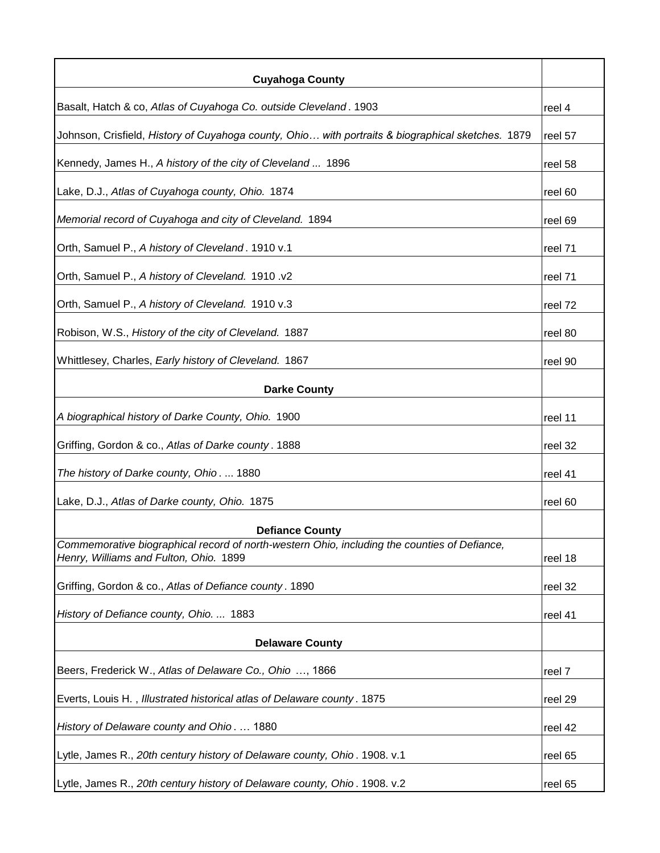| <b>Cuyahoga County</b>                                                                                                                 |         |
|----------------------------------------------------------------------------------------------------------------------------------------|---------|
| Basalt, Hatch & co, Atlas of Cuyahoga Co. outside Cleveland. 1903                                                                      | reel 4  |
| Johnson, Crisfield, History of Cuyahoga county, Ohio with portraits & biographical sketches. 1879                                      | reel 57 |
| Kennedy, James H., A history of the city of Cleveland  1896                                                                            | reel 58 |
| Lake, D.J., Atlas of Cuyahoga county, Ohio. 1874                                                                                       | reel 60 |
| Memorial record of Cuyahoga and city of Cleveland. 1894                                                                                | reel 69 |
| Orth, Samuel P., A history of Cleveland. 1910 v.1                                                                                      | reel 71 |
| Orth, Samuel P., A history of Cleveland. 1910 .v2                                                                                      | reel 71 |
| Orth, Samuel P., A history of Cleveland. 1910 v.3                                                                                      | reel 72 |
| Robison, W.S., History of the city of Cleveland. 1887                                                                                  | reel 80 |
| Whittlesey, Charles, Early history of Cleveland. 1867                                                                                  | reel 90 |
| <b>Darke County</b>                                                                                                                    |         |
| A biographical history of Darke County, Ohio. 1900                                                                                     | reel 11 |
| Griffing, Gordon & co., Atlas of Darke county. 1888                                                                                    | reel 32 |
| The history of Darke county, Ohio.  1880                                                                                               | reel 41 |
| Lake, D.J., Atlas of Darke county, Ohio. 1875                                                                                          | reel 60 |
| <b>Defiance County</b>                                                                                                                 |         |
| Commemorative biographical record of north-western Ohio, including the counties of Defiance,<br>Henry, Williams and Fulton, Ohio. 1899 | reel 18 |
| Griffing, Gordon & co., Atlas of Defiance county. 1890                                                                                 | reel 32 |
| History of Defiance county, Ohio.  1883                                                                                                | reel 41 |
| <b>Delaware County</b>                                                                                                                 |         |
| Beers, Frederick W., Atlas of Delaware Co., Ohio , 1866                                                                                | reel 7  |
| Everts, Louis H., Illustrated historical atlas of Delaware county. 1875                                                                | reel 29 |
| History of Delaware county and Ohio 1880                                                                                               | reel 42 |
| Lytle, James R., 20th century history of Delaware county, Ohio. 1908. v.1                                                              | reel 65 |
| Lytle, James R., 20th century history of Delaware county, Ohio. 1908. v.2                                                              | reel 65 |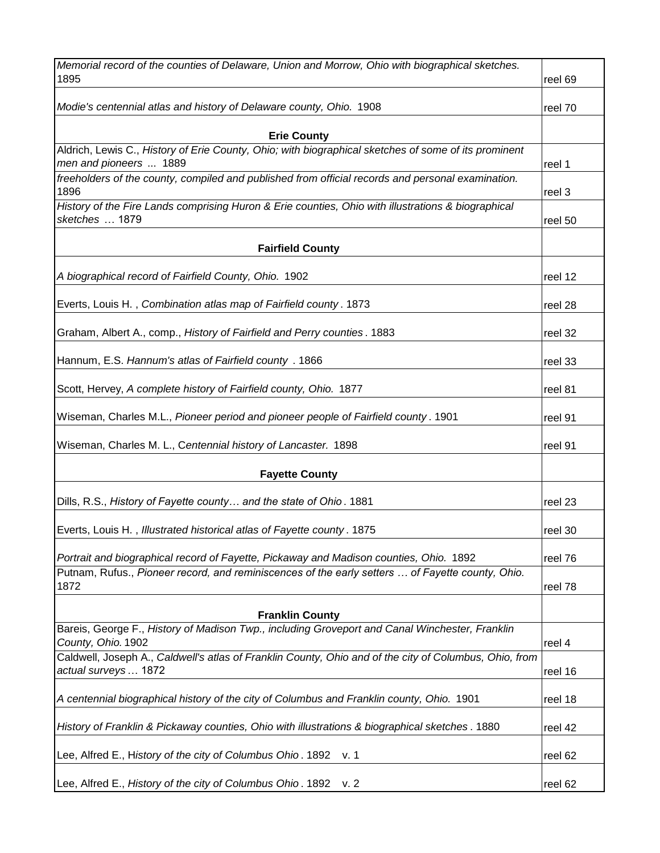| Memorial record of the counties of Delaware, Union and Morrow, Ohio with biographical sketches.<br>1895                                                                                    | reel 69 |
|--------------------------------------------------------------------------------------------------------------------------------------------------------------------------------------------|---------|
|                                                                                                                                                                                            |         |
| Modie's centennial atlas and history of Delaware county, Ohio. 1908                                                                                                                        | reel 70 |
| <b>Erie County</b>                                                                                                                                                                         |         |
| Aldrich, Lewis C., History of Erie County, Ohio; with biographical sketches of some of its prominent<br>men and pioneers  1889                                                             | reel 1  |
| freeholders of the county, compiled and published from official records and personal examination.<br>1896                                                                                  | reel 3  |
| History of the Fire Lands comprising Huron & Erie counties, Ohio with illustrations & biographical<br>sketches  1879                                                                       | reel 50 |
| <b>Fairfield County</b>                                                                                                                                                                    |         |
| A biographical record of Fairfield County, Ohio. 1902                                                                                                                                      | reel 12 |
| Everts, Louis H., Combination atlas map of Fairfield county. 1873                                                                                                                          | reel 28 |
| Graham, Albert A., comp., History of Fairfield and Perry counties. 1883                                                                                                                    | reel 32 |
| Hannum, E.S. Hannum's atlas of Fairfield county. 1866                                                                                                                                      | reel 33 |
| Scott, Hervey, A complete history of Fairfield county, Ohio. 1877                                                                                                                          | reel 81 |
| Wiseman, Charles M.L., Pioneer period and pioneer people of Fairfield county. 1901                                                                                                         | reel 91 |
| Wiseman, Charles M. L., Centennial history of Lancaster. 1898                                                                                                                              | reel 91 |
| <b>Fayette County</b>                                                                                                                                                                      |         |
| Dills, R.S., History of Fayette county and the state of Ohio. 1881                                                                                                                         | reel 23 |
| Everts, Louis H., Illustrated historical atlas of Fayette county. 1875                                                                                                                     | reel 30 |
| Portrait and biographical record of Fayette, Pickaway and Madison counties, Ohio. 1892<br>Putnam, Rufus., Pioneer record, and reminiscences of the early setters  of Fayette county, Ohio. | reel 76 |
| 1872                                                                                                                                                                                       | reel 78 |
| <b>Franklin County</b>                                                                                                                                                                     |         |
| Bareis, George F., History of Madison Twp., including Groveport and Canal Winchester, Franklin<br>County, Ohio. 1902                                                                       | reel 4  |
| Caldwell, Joseph A., Caldwell's atlas of Franklin County, Ohio and of the city of Columbus, Ohio, from<br>actual surveys  1872                                                             | reel 16 |
| A centennial biographical history of the city of Columbus and Franklin county, Ohio. 1901                                                                                                  | reel 18 |
| History of Franklin & Pickaway counties, Ohio with illustrations & biographical sketches . 1880                                                                                            | reel 42 |
| Lee, Alfred E., History of the city of Columbus Ohio. 1892<br>v. 1                                                                                                                         | reel 62 |
| Lee, Alfred E., History of the city of Columbus Ohio. 1892<br>v. 2                                                                                                                         | reel 62 |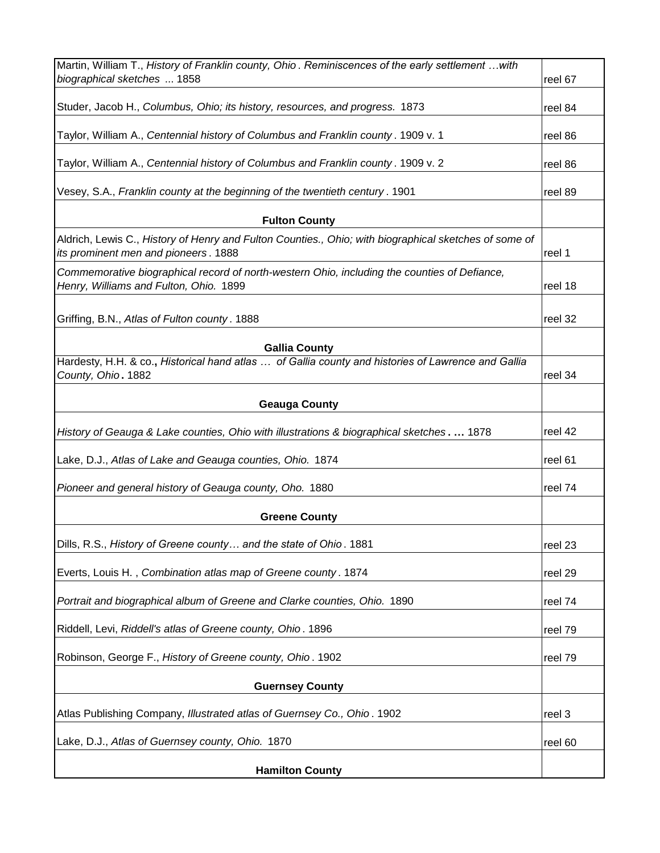| Martin, William T., History of Franklin county, Ohio. Reminiscences of the early settlement  with                                             |         |
|-----------------------------------------------------------------------------------------------------------------------------------------------|---------|
| biographical sketches  1858                                                                                                                   | reel 67 |
| Studer, Jacob H., Columbus, Ohio; its history, resources, and progress. 1873                                                                  | reel 84 |
| Taylor, William A., Centennial history of Columbus and Franklin county. 1909 v. 1                                                             | reel 86 |
| Taylor, William A., Centennial history of Columbus and Franklin county. 1909 v. 2                                                             | reel 86 |
| Vesey, S.A., Franklin county at the beginning of the twentieth century. 1901                                                                  | reel 89 |
| <b>Fulton County</b>                                                                                                                          |         |
| Aldrich, Lewis C., History of Henry and Fulton Counties., Ohio; with biographical sketches of some of<br>its prominent men and pioneers. 1888 | reel 1  |
| Commemorative biographical record of north-western Ohio, including the counties of Defiance,<br>Henry, Williams and Fulton, Ohio. 1899        | reel 18 |
|                                                                                                                                               |         |
| Griffing, B.N., Atlas of Fulton county. 1888                                                                                                  | reel 32 |
| <b>Gallia County</b>                                                                                                                          |         |
| Hardesty, H.H. & co., Historical hand atlas  of Gallia county and histories of Lawrence and Gallia                                            |         |
| County, Ohio. 1882                                                                                                                            | reel 34 |
| <b>Geauga County</b>                                                                                                                          |         |
| History of Geauga & Lake counties, Ohio with illustrations & biographical sketches 1878                                                       | reel 42 |
| Lake, D.J., Atlas of Lake and Geauga counties, Ohio. 1874                                                                                     | reel 61 |
| Pioneer and general history of Geauga county, Oho. 1880                                                                                       | reel 74 |
| <b>Greene County</b>                                                                                                                          |         |
| Dills, R.S., History of Greene county and the state of Ohio. 1881                                                                             | reel 23 |
| Everts, Louis H., Combination atlas map of Greene county. 1874                                                                                | reel 29 |
| Portrait and biographical album of Greene and Clarke counties, Ohio. 1890                                                                     | reel 74 |
| Riddell, Levi, Riddell's atlas of Greene county, Ohio. 1896                                                                                   | reel 79 |
| Robinson, George F., History of Greene county, Ohio. 1902                                                                                     | reel 79 |
| <b>Guernsey County</b>                                                                                                                        |         |
| Atlas Publishing Company, Illustrated atlas of Guernsey Co., Ohio. 1902                                                                       | reel 3  |
| Lake, D.J., Atlas of Guernsey county, Ohio. 1870                                                                                              | reel 60 |
| <b>Hamilton County</b>                                                                                                                        |         |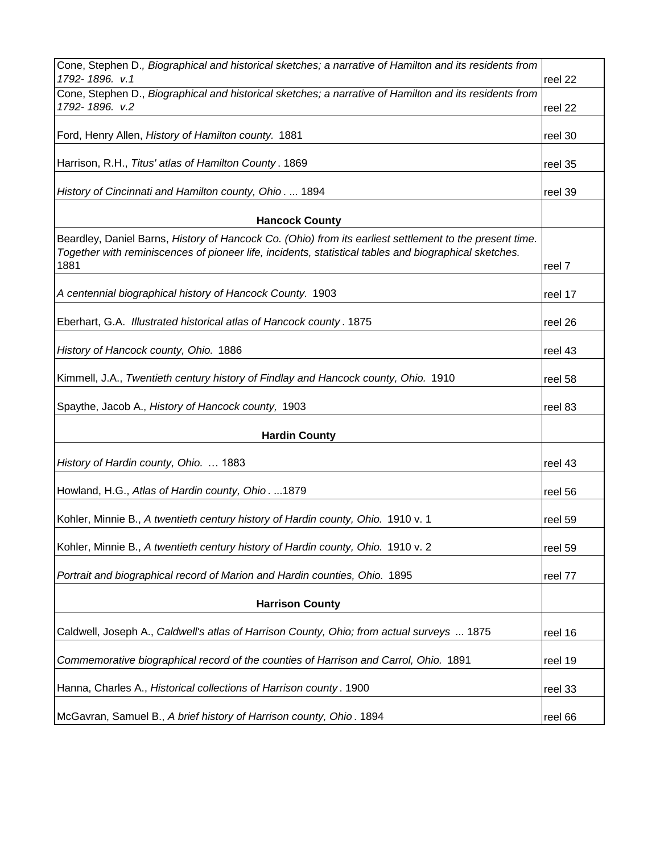| Cone, Stephen D., Biographical and historical sketches; a narrative of Hamilton and its residents from<br>1792-1896. v.1                                                                                                 | reel 22 |
|--------------------------------------------------------------------------------------------------------------------------------------------------------------------------------------------------------------------------|---------|
| Cone, Stephen D., Biographical and historical sketches; a narrative of Hamilton and its residents from<br>1792-1896. v.2                                                                                                 | reel 22 |
|                                                                                                                                                                                                                          |         |
| Ford, Henry Allen, History of Hamilton county. 1881                                                                                                                                                                      | reel 30 |
| Harrison, R.H., Titus' atlas of Hamilton County. 1869                                                                                                                                                                    | reel 35 |
| History of Cincinnati and Hamilton county, Ohio.  1894                                                                                                                                                                   | reel 39 |
| <b>Hancock County</b>                                                                                                                                                                                                    |         |
| Beardley, Daniel Barns, History of Hancock Co. (Ohio) from its earliest settlement to the present time.<br>Together with reminiscences of pioneer life, incidents, statistical tables and biographical sketches.<br>1881 | reel 7  |
|                                                                                                                                                                                                                          |         |
| A centennial biographical history of Hancock County. 1903                                                                                                                                                                | reel 17 |
| Eberhart, G.A. Illustrated historical atlas of Hancock county. 1875                                                                                                                                                      | reel 26 |
| History of Hancock county, Ohio. 1886                                                                                                                                                                                    | reel 43 |
| Kimmell, J.A., Twentieth century history of Findlay and Hancock county, Ohio. 1910                                                                                                                                       | reel 58 |
| Spaythe, Jacob A., History of Hancock county, 1903                                                                                                                                                                       | reel 83 |
| <b>Hardin County</b>                                                                                                                                                                                                     |         |
| History of Hardin county, Ohio.  1883                                                                                                                                                                                    | reel 43 |
| Howland, H.G., Atlas of Hardin county, Ohio. 1879                                                                                                                                                                        | reel 56 |
| Kohler, Minnie B., A twentieth century history of Hardin county, Ohio. 1910 v. 1                                                                                                                                         | reel 59 |
| Kohler, Minnie B., A twentieth century history of Hardin county, Ohio. 1910 v. 2                                                                                                                                         | reel 59 |
| Portrait and biographical record of Marion and Hardin counties, Ohio. 1895                                                                                                                                               | reel 77 |
| <b>Harrison County</b>                                                                                                                                                                                                   |         |
|                                                                                                                                                                                                                          |         |
| Caldwell, Joseph A., Caldwell's atlas of Harrison County, Ohio; from actual surveys  1875                                                                                                                                | reel 16 |
| Commemorative biographical record of the counties of Harrison and Carrol, Ohio. 1891                                                                                                                                     | reel 19 |
| Hanna, Charles A., Historical collections of Harrison county. 1900                                                                                                                                                       | reel 33 |
| McGavran, Samuel B., A brief history of Harrison county, Ohio. 1894                                                                                                                                                      | reel 66 |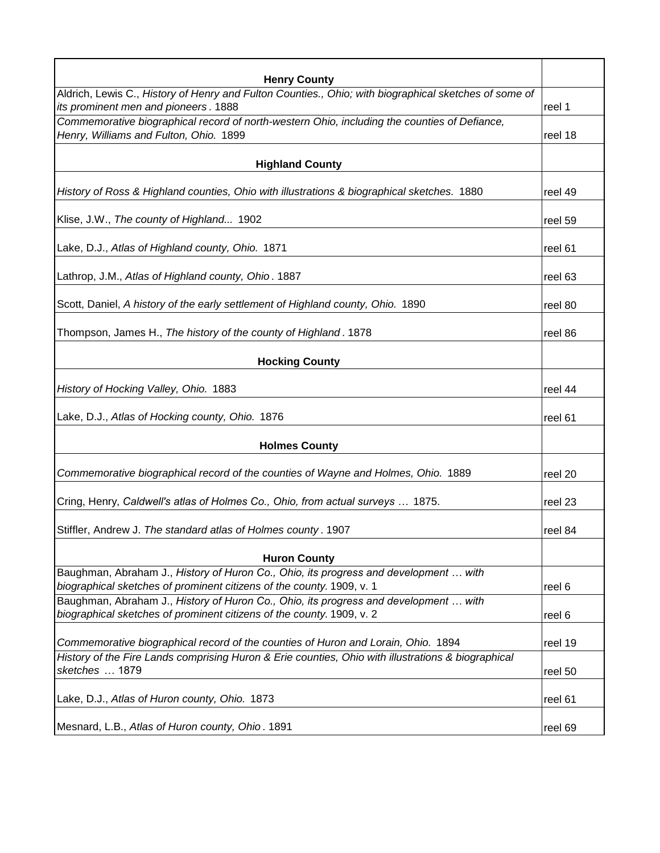| <b>Henry County</b>                                                                                   |          |
|-------------------------------------------------------------------------------------------------------|----------|
| Aldrich, Lewis C., History of Henry and Fulton Counties., Ohio; with biographical sketches of some of |          |
| its prominent men and pioneers. 1888                                                                  | reel 1   |
| Commemorative biographical record of north-western Ohio, including the counties of Defiance,          |          |
| Henry, Williams and Fulton, Ohio. 1899                                                                | lreel 18 |
| <b>Highland County</b>                                                                                |          |
| History of Ross & Highland counties, Ohio with illustrations & biographical sketches. 1880            | reel 49  |
|                                                                                                       |          |
| Klise, J.W., The county of Highland 1902                                                              | reel 59  |
| Lake, D.J., Atlas of Highland county, Ohio. 1871                                                      | reel 61  |
| Lathrop, J.M., Atlas of Highland county, Ohio. 1887                                                   | reel 63  |
|                                                                                                       |          |
| Scott, Daniel, A history of the early settlement of Highland county, Ohio. 1890                       | reel 80  |
| Thompson, James H., The history of the county of Highland. 1878                                       |          |
|                                                                                                       | reel 86  |
| <b>Hocking County</b>                                                                                 |          |
| History of Hocking Valley, Ohio. 1883                                                                 | reel 44  |
|                                                                                                       |          |
| Lake, D.J., Atlas of Hocking county, Ohio. 1876                                                       | reel 61  |
| <b>Holmes County</b>                                                                                  |          |
| Commemorative biographical record of the counties of Wayne and Holmes, Ohio. 1889                     | reel 20  |
|                                                                                                       |          |
| Cring, Henry, Caldwell's atlas of Holmes Co., Ohio, from actual surveys  1875.                        | reel 23  |
| Stiffler, Andrew J. The standard atlas of Holmes county. 1907                                         | reel 84  |
| <b>Huron County</b>                                                                                   |          |
| Baughman, Abraham J., History of Huron Co., Ohio, its progress and development  with                  |          |
| biographical sketches of prominent citizens of the county. 1909, v. 1                                 | reel 6   |
| Baughman, Abraham J., History of Huron Co., Ohio, its progress and development  with                  |          |
| biographical sketches of prominent citizens of the county. 1909, v. 2                                 | reel 6   |
| Commemorative biographical record of the counties of Huron and Lorain, Ohio. 1894                     | reel 19  |
| History of the Fire Lands comprising Huron & Erie counties, Ohio with illustrations & biographical    |          |
| sketches  1879                                                                                        | reel 50  |
| Lake, D.J., Atlas of Huron county, Ohio. 1873                                                         | reel 61  |
|                                                                                                       |          |
| Mesnard, L.B., Atlas of Huron county, Ohio. 1891                                                      | reel 69  |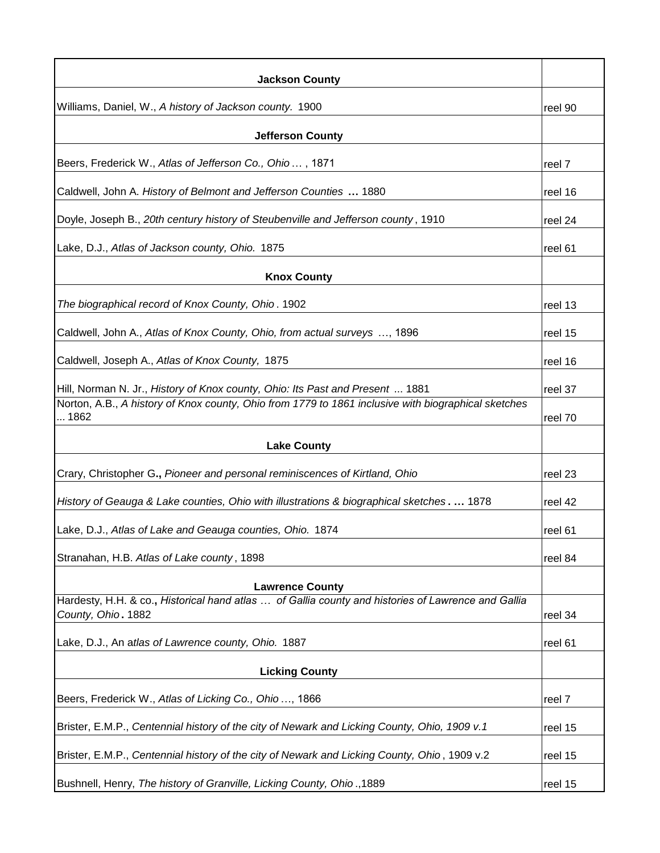| <b>Jackson County</b>                                                                                                    |         |
|--------------------------------------------------------------------------------------------------------------------------|---------|
| Williams, Daniel, W., A history of Jackson county. 1900                                                                  | reel 90 |
| <b>Jefferson County</b>                                                                                                  |         |
| Beers, Frederick W., Atlas of Jefferson Co., Ohio, 1871                                                                  | reel 7  |
| Caldwell, John A. History of Belmont and Jefferson Counties  1880                                                        | reel 16 |
| Doyle, Joseph B., 20th century history of Steubenville and Jefferson county, 1910                                        | reel 24 |
| Lake, D.J., Atlas of Jackson county, Ohio. 1875                                                                          | reel 61 |
| <b>Knox County</b>                                                                                                       |         |
| The biographical record of Knox County, Ohio. 1902                                                                       | reel 13 |
| Caldwell, John A., Atlas of Knox County, Ohio, from actual surveys , 1896                                                | reel 15 |
| Caldwell, Joseph A., Atlas of Knox County, 1875                                                                          | reel 16 |
| Hill, Norman N. Jr., History of Knox county, Ohio: Its Past and Present  1881                                            | reel 37 |
| Norton, A.B., A history of Knox county, Ohio from 1779 to 1861 inclusive with biographical sketches<br>1862              | reel 70 |
| <b>Lake County</b>                                                                                                       |         |
| Crary, Christopher G., Pioneer and personal reminiscences of Kirtland, Ohio                                              | reel 23 |
| History of Geauga & Lake counties, Ohio with illustrations & biographical sketches 1878                                  | reel 42 |
| Lake, D.J., Atlas of Lake and Geauga counties, Ohio. 1874                                                                | reel 61 |
| Stranahan, H.B. Atlas of Lake county, 1898                                                                               | reel 84 |
| <b>Lawrence County</b>                                                                                                   |         |
| Hardesty, H.H. & co., Historical hand atlas  of Gallia county and histories of Lawrence and Gallia<br>County, Ohio. 1882 | reel 34 |
| Lake, D.J., An atlas of Lawrence county, Ohio. 1887                                                                      | reel 61 |
| <b>Licking County</b>                                                                                                    |         |
| Beers, Frederick W., Atlas of Licking Co., Ohio, 1866                                                                    | reel 7  |
| Brister, E.M.P., Centennial history of the city of Newark and Licking County, Ohio, 1909 v.1                             | reel 15 |
| Brister, E.M.P., Centennial history of the city of Newark and Licking County, Ohio, 1909 v.2                             | reel 15 |
| Bushnell, Henry, The history of Granville, Licking County, Ohio., 1889                                                   | reel 15 |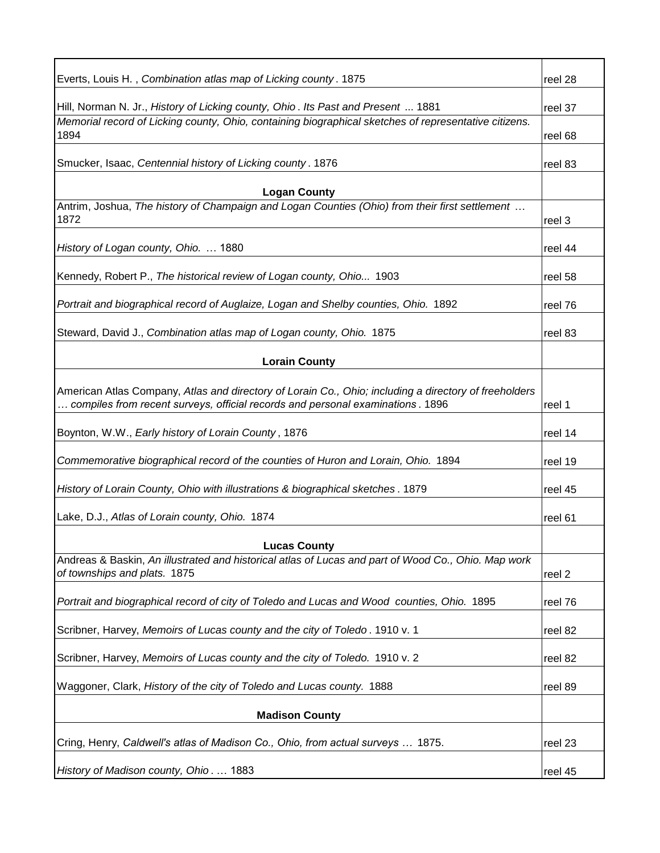| Everts, Louis H., Combination atlas map of Licking county. 1875                                                                                                                          | reel 28 |
|------------------------------------------------------------------------------------------------------------------------------------------------------------------------------------------|---------|
| Hill, Norman N. Jr., History of Licking county, Ohio. Its Past and Present  1881                                                                                                         | reel 37 |
| Memorial record of Licking county, Ohio, containing biographical sketches of representative citizens.<br>1894                                                                            | reel 68 |
| Smucker, Isaac, Centennial history of Licking county. 1876                                                                                                                               | reel 83 |
| <b>Logan County</b>                                                                                                                                                                      |         |
| Antrim, Joshua, The history of Champaign and Logan Counties (Ohio) from their first settlement<br>1872                                                                                   | reel 3  |
| History of Logan county, Ohio.  1880                                                                                                                                                     | reel 44 |
| Kennedy, Robert P., The historical review of Logan county, Ohio 1903                                                                                                                     | reel 58 |
| Portrait and biographical record of Auglaize, Logan and Shelby counties, Ohio. 1892                                                                                                      | reel 76 |
| Steward, David J., Combination atlas map of Logan county, Ohio. 1875                                                                                                                     | reel 83 |
| <b>Lorain County</b>                                                                                                                                                                     |         |
| American Atlas Company, Atlas and directory of Lorain Co., Ohio; including a directory of freeholders<br>compiles from recent surveys, official records and personal examinations . 1896 | reel 1  |
| Boynton, W.W., Early history of Lorain County, 1876                                                                                                                                      | reel 14 |
| Commemorative biographical record of the counties of Huron and Lorain, Ohio. 1894                                                                                                        | reel 19 |
| History of Lorain County, Ohio with illustrations & biographical sketches. 1879                                                                                                          | reel 45 |
| Lake, D.J., Atlas of Lorain county, Ohio. 1874                                                                                                                                           | reel 61 |
| <b>Lucas County</b>                                                                                                                                                                      |         |
| Andreas & Baskin, An illustrated and historical atlas of Lucas and part of Wood Co., Ohio. Map work<br>of townships and plats. 1875                                                      | reel 2  |
| Portrait and biographical record of city of Toledo and Lucas and Wood counties, Ohio. 1895                                                                                               | reel 76 |
| Scribner, Harvey, Memoirs of Lucas county and the city of Toledo. 1910 v. 1                                                                                                              | reel 82 |
| Scribner, Harvey, Memoirs of Lucas county and the city of Toledo. 1910 v. 2                                                                                                              | reel 82 |
| Waggoner, Clark, History of the city of Toledo and Lucas county. 1888                                                                                                                    | reel 89 |
| <b>Madison County</b>                                                                                                                                                                    |         |
| Cring, Henry, Caldwell's atlas of Madison Co., Ohio, from actual surveys  1875.                                                                                                          | reel 23 |
| History of Madison county, Ohio.  1883                                                                                                                                                   | reel 45 |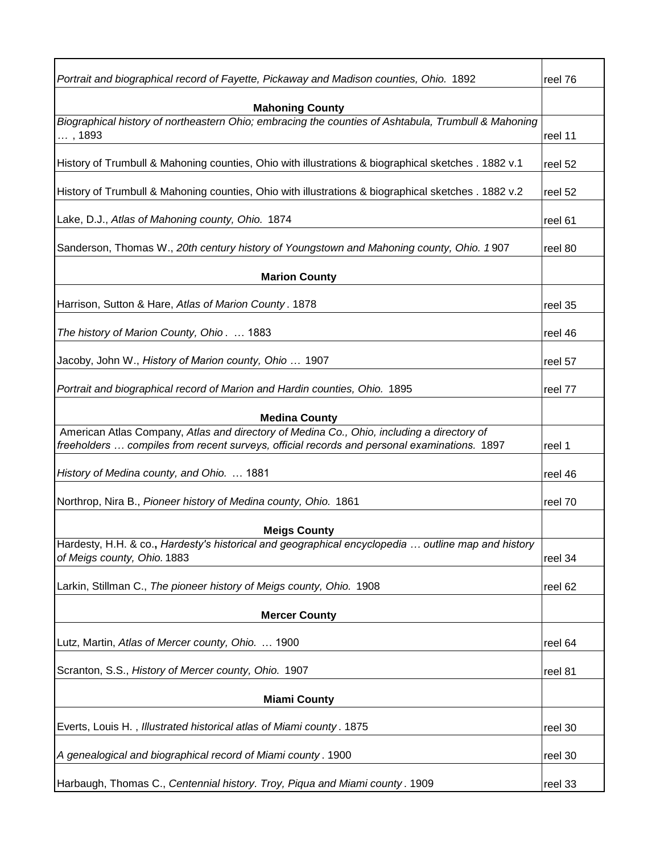| Portrait and biographical record of Fayette, Pickaway and Madison counties, Ohio. 1892                                        | reel 76 |
|-------------------------------------------------------------------------------------------------------------------------------|---------|
|                                                                                                                               |         |
| <b>Mahoning County</b><br>Biographical history of northeastern Ohio; embracing the counties of Ashtabula, Trumbull & Mahoning |         |
| , 1893                                                                                                                        | reel 11 |
| History of Trumbull & Mahoning counties, Ohio with illustrations & biographical sketches . 1882 v.1                           | reel 52 |
| History of Trumbull & Mahoning counties, Ohio with illustrations & biographical sketches . 1882 v.2                           | reel 52 |
| Lake, D.J., Atlas of Mahoning county, Ohio. 1874                                                                              | reel 61 |
| Sanderson, Thomas W., 20th century history of Youngstown and Mahoning county, Ohio. 1907                                      | reel 80 |
| <b>Marion County</b>                                                                                                          |         |
| Harrison, Sutton & Hare, Atlas of Marion County. 1878                                                                         | reel 35 |
| The history of Marion County, Ohio.  1883                                                                                     | reel 46 |
| Jacoby, John W., History of Marion county, Ohio  1907                                                                         | reel 57 |
| Portrait and biographical record of Marion and Hardin counties, Ohio. 1895                                                    | reel 77 |
| <b>Medina County</b>                                                                                                          |         |
| American Atlas Company, Atlas and directory of Medina Co., Ohio, including a directory of                                     |         |
| freeholders  compiles from recent surveys, official records and personal examinations. 1897                                   | reel 1  |
| History of Medina county, and Ohio.  1881                                                                                     | reel 46 |
| Northrop, Nira B., Pioneer history of Medina county, Ohio. 1861                                                               | reel 70 |
| <b>Meigs County</b>                                                                                                           |         |
| Hardesty, H.H. & co., Hardesty's historical and geographical encyclopedia  outline map and history                            |         |
| of Meigs county, Ohio. 1883                                                                                                   | reel 34 |
| Larkin, Stillman C., The pioneer history of Meigs county, Ohio. 1908                                                          | reel 62 |
| <b>Mercer County</b>                                                                                                          |         |
| Lutz, Martin, Atlas of Mercer county, Ohio.  1900                                                                             | reel 64 |
| Scranton, S.S., History of Mercer county, Ohio. 1907                                                                          | reel 81 |
| <b>Miami County</b>                                                                                                           |         |
| Everts, Louis H., Illustrated historical atlas of Miami county. 1875                                                          | reel 30 |
| A genealogical and biographical record of Miami county. 1900                                                                  | reel 30 |
| Harbaugh, Thomas C., Centennial history. Troy, Piqua and Miami county. 1909                                                   | reel 33 |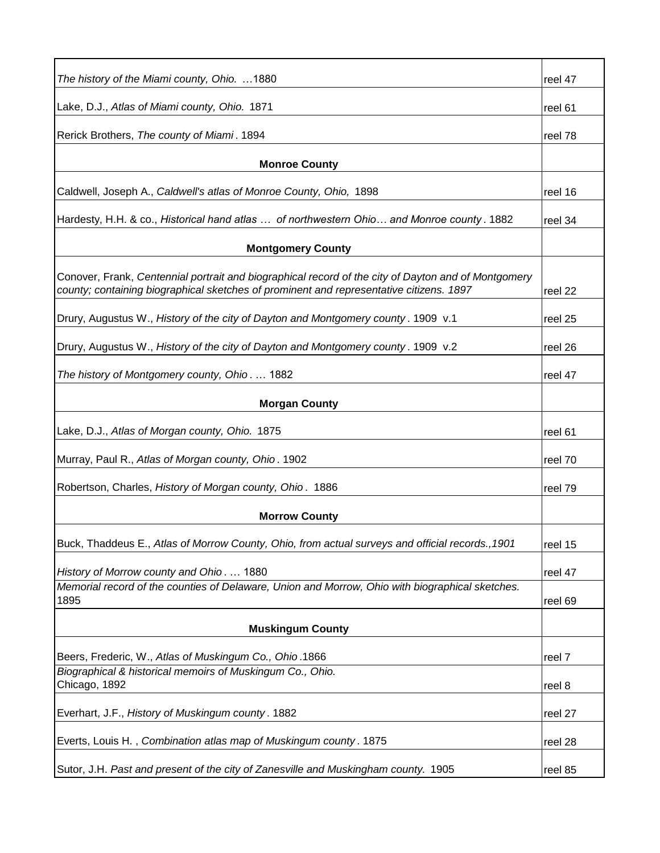| The history of the Miami county, Ohio. 1880                                                             | reel 47 |
|---------------------------------------------------------------------------------------------------------|---------|
| Lake, D.J., Atlas of Miami county, Ohio. 1871                                                           | reel 61 |
| Rerick Brothers, The county of Miami. 1894                                                              | reel 78 |
|                                                                                                         |         |
| <b>Monroe County</b>                                                                                    |         |
| Caldwell, Joseph A., Caldwell's atlas of Monroe County, Ohio, 1898                                      | reel 16 |
| Hardesty, H.H. & co., Historical hand atlas  of northwestern Ohio and Monroe county . 1882              | reel 34 |
| <b>Montgomery County</b>                                                                                |         |
| Conover, Frank, Centennial portrait and biographical record of the city of Dayton and of Montgomery     |         |
| county; containing biographical sketches of prominent and representative citizens. 1897                 | reel 22 |
| Drury, Augustus W., History of the city of Dayton and Montgomery county. 1909 v.1                       | reel 25 |
| Drury, Augustus W., History of the city of Dayton and Montgomery county. 1909 v.2                       | reel 26 |
| The history of Montgomery county, Ohio 1882                                                             | reel 47 |
| <b>Morgan County</b>                                                                                    |         |
|                                                                                                         |         |
| Lake, D.J., Atlas of Morgan county, Ohio. 1875                                                          | reel 61 |
| Murray, Paul R., Atlas of Morgan county, Ohio. 1902                                                     | reel 70 |
| Robertson, Charles, History of Morgan county, Ohio. 1886                                                | reel 79 |
| <b>Morrow County</b>                                                                                    |         |
| Buck, Thaddeus E., Atlas of Morrow County, Ohio, from actual surveys and official records., 1901        | reel 15 |
| History of Morrow county and Ohio.  1880                                                                | reel 47 |
| Memorial record of the counties of Delaware, Union and Morrow, Ohio with biographical sketches.<br>1895 | reel 69 |
|                                                                                                         |         |
| <b>Muskingum County</b>                                                                                 |         |
| Beers, Frederic, W., Atlas of Muskingum Co., Ohio.1866                                                  | reel 7  |
| Biographical & historical memoirs of Muskingum Co., Ohio.<br>Chicago, 1892                              | reel 8  |
| Everhart, J.F., History of Muskingum county. 1882                                                       | reel 27 |
|                                                                                                         |         |
| Everts, Louis H., Combination atlas map of Muskingum county. 1875                                       | reel 28 |
| Sutor, J.H. Past and present of the city of Zanesville and Muskingham county. 1905                      | reel 85 |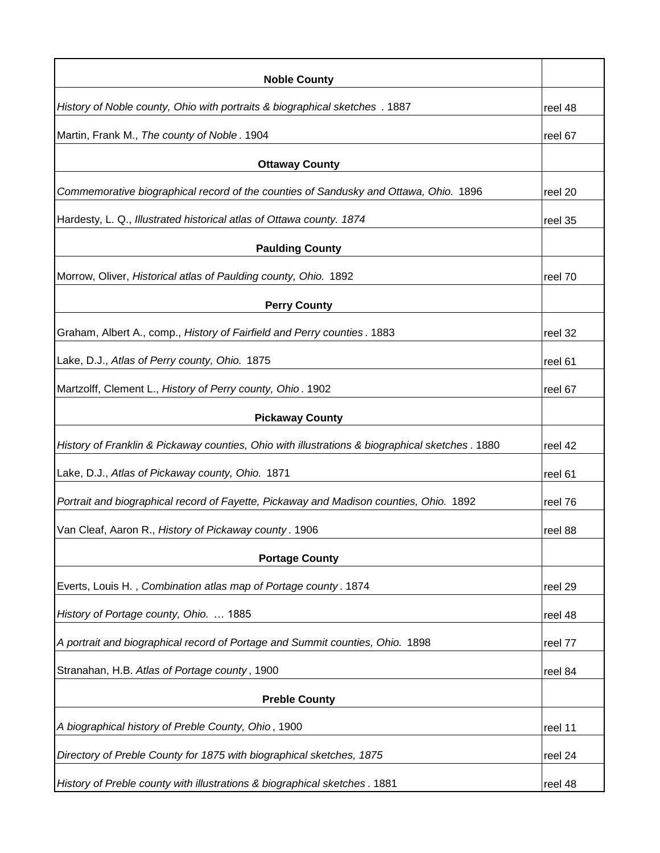| <b>Noble County</b>                                                                             |         |
|-------------------------------------------------------------------------------------------------|---------|
| History of Noble county, Ohio with portraits & biographical sketches . 1887                     | reel 48 |
| Martin, Frank M., The county of Noble. 1904                                                     | reel 67 |
| <b>Ottaway County</b>                                                                           |         |
| Commemorative biographical record of the counties of Sandusky and Ottawa, Ohio. 1896            | reel 20 |
| Hardesty, L. Q., Illustrated historical atlas of Ottawa county. 1874                            | reel 35 |
| <b>Paulding County</b>                                                                          |         |
| Morrow, Oliver, Historical atlas of Paulding county, Ohio. 1892                                 | reel 70 |
| <b>Perry County</b>                                                                             |         |
| Graham, Albert A., comp., History of Fairfield and Perry counties. 1883                         | reel 32 |
| Lake, D.J., Atlas of Perry county, Ohio. 1875                                                   | reel 61 |
| Martzolff, Clement L., History of Perry county, Ohio. 1902                                      | reel 67 |
| <b>Pickaway County</b>                                                                          |         |
| History of Franklin & Pickaway counties, Ohio with illustrations & biographical sketches . 1880 | reel 42 |
| Lake, D.J., Atlas of Pickaway county, Ohio. 1871                                                | reel 61 |
| Portrait and biographical record of Fayette, Pickaway and Madison counties, Ohio. 1892          | reel 76 |
| Van Cleaf, Aaron R., History of Pickaway county. 1906                                           | reel 88 |
| <b>Portage County</b>                                                                           |         |
| Everts, Louis H., Combination atlas map of Portage county. 1874                                 | reel 29 |
| History of Portage county, Ohio.  1885                                                          | reel 48 |
| A portrait and biographical record of Portage and Summit counties, Ohio. 1898                   | reel 77 |
| Stranahan, H.B. Atlas of Portage county, 1900                                                   | reel 84 |
| <b>Preble County</b>                                                                            |         |
| A biographical history of Preble County, Ohio, 1900                                             | reel 11 |
| Directory of Preble County for 1875 with biographical sketches, 1875                            | reel 24 |
| History of Preble county with illustrations & biographical sketches. 1881                       | reel 48 |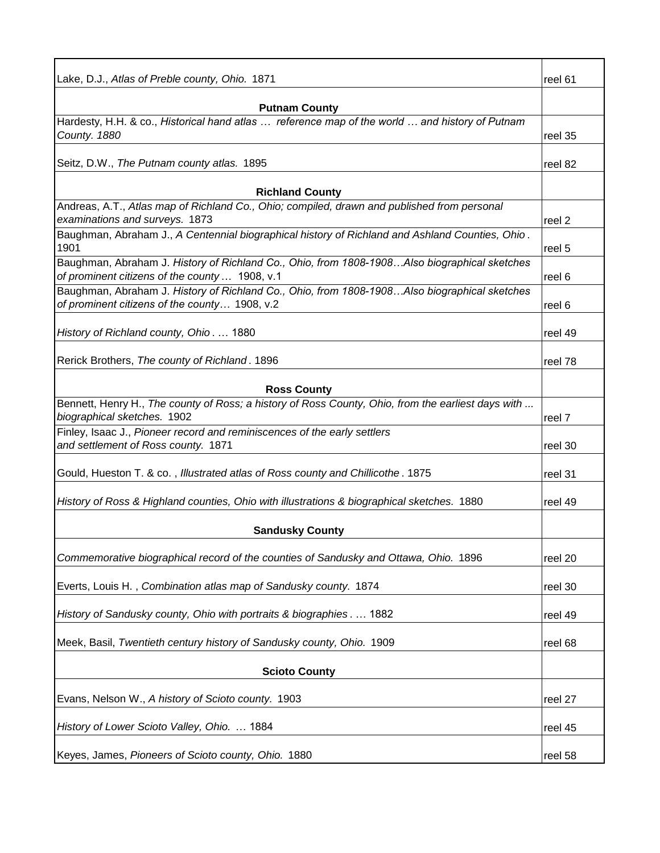| Lake, D.J., Atlas of Preble county, Ohio. 1871                                                                                                 | reel 61 |
|------------------------------------------------------------------------------------------------------------------------------------------------|---------|
| <b>Putnam County</b>                                                                                                                           |         |
| Hardesty, H.H. & co., Historical hand atlas  reference map of the world  and history of Putnam<br>County. 1880                                 | reel 35 |
| Seitz, D.W., The Putnam county atlas. 1895                                                                                                     | reel 82 |
| <b>Richland County</b>                                                                                                                         |         |
| Andreas, A.T., Atlas map of Richland Co., Ohio; compiled, drawn and published from personal<br>examinations and surveys. 1873                  | reel 2  |
| Baughman, Abraham J., A Centennial biographical history of Richland and Ashland Counties, Ohio.<br>1901                                        | reel 5  |
| Baughman, Abraham J. History of Richland Co., Ohio, from 1808-1908Also biographical sketches<br>of prominent citizens of the county  1908, v.1 | reel 6  |
| Baughman, Abraham J. History of Richland Co., Ohio, from 1808-1908Also biographical sketches<br>of prominent citizens of the county 1908, v.2  | reel 6  |
| History of Richland county, Ohio 1880                                                                                                          | reel 49 |
| Rerick Brothers, The county of Richland. 1896                                                                                                  | reel 78 |
| <b>Ross County</b>                                                                                                                             |         |
| Bennett, Henry H., The county of Ross; a history of Ross County, Ohio, from the earliest days with<br>biographical sketches. 1902              | reel 7  |
| Finley, Isaac J., Pioneer record and reminiscences of the early settlers<br>and settlement of Ross county. 1871                                | reel 30 |
| Gould, Hueston T. & co., Illustrated atlas of Ross county and Chillicothe. 1875                                                                | reel 31 |
| History of Ross & Highland counties, Ohio with illustrations & biographical sketches. 1880                                                     | reel 49 |
| <b>Sandusky County</b>                                                                                                                         |         |
| Commemorative biographical record of the counties of Sandusky and Ottawa, Ohio. 1896                                                           | reel 20 |
| Everts, Louis H., Combination atlas map of Sandusky county. 1874                                                                               | reel 30 |
| History of Sandusky county, Ohio with portraits & biographies 1882                                                                             | reel 49 |
| Meek, Basil, Twentieth century history of Sandusky county, Ohio. 1909                                                                          | reel 68 |
| <b>Scioto County</b>                                                                                                                           |         |
| Evans, Nelson W., A history of Scioto county. 1903                                                                                             | reel 27 |
| History of Lower Scioto Valley, Ohio.  1884                                                                                                    | reel 45 |
| Keyes, James, Pioneers of Scioto county, Ohio. 1880                                                                                            | reel 58 |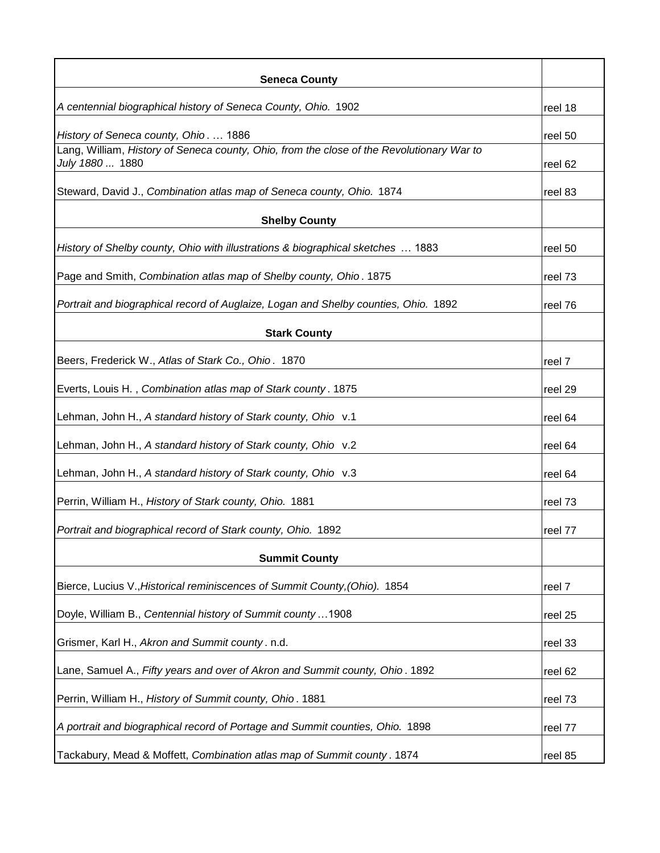| <b>Seneca County</b>                                                                      |         |
|-------------------------------------------------------------------------------------------|---------|
| A centennial biographical history of Seneca County, Ohio. 1902                            | reel 18 |
| History of Seneca county, Ohio.  1886                                                     | reel 50 |
| Lang, William, History of Seneca county, Ohio, from the close of the Revolutionary War to |         |
| July 1880  1880                                                                           | reel 62 |
| Steward, David J., Combination atlas map of Seneca county, Ohio. 1874                     | reel 83 |
| <b>Shelby County</b>                                                                      |         |
| History of Shelby county, Ohio with illustrations & biographical sketches  1883           | reel 50 |
| Page and Smith, Combination atlas map of Shelby county, Ohio. 1875                        | reel 73 |
| Portrait and biographical record of Auglaize, Logan and Shelby counties, Ohio. 1892       | reel 76 |
| <b>Stark County</b>                                                                       |         |
| Beers, Frederick W., Atlas of Stark Co., Ohio. 1870                                       | reel 7  |
| Everts, Louis H., Combination atlas map of Stark county. 1875                             | reel 29 |
| Lehman, John H., A standard history of Stark county, Ohio v.1                             | reel 64 |
| Lehman, John H., A standard history of Stark county, Ohio v.2                             | reel 64 |
| Lehman, John H., A standard history of Stark county, Ohio v.3                             | reel 64 |
| Perrin, William H., History of Stark county, Ohio. 1881                                   | reel 73 |
| Portrait and biographical record of Stark county, Ohio. 1892                              | reel 77 |
| <b>Summit County</b>                                                                      |         |
| Bierce, Lucius V., Historical reminiscences of Summit County, (Ohio). 1854                | reel 7  |
| Doyle, William B., Centennial history of Summit county1908                                | reel 25 |
| Grismer, Karl H., Akron and Summit county. n.d.                                           | reel 33 |
| Lane, Samuel A., Fifty years and over of Akron and Summit county, Ohio. 1892              | reel 62 |
| Perrin, William H., History of Summit county, Ohio. 1881                                  | reel 73 |
| A portrait and biographical record of Portage and Summit counties, Ohio. 1898             | reel 77 |
| Tackabury, Mead & Moffett, Combination atlas map of Summit county. 1874                   | reel 85 |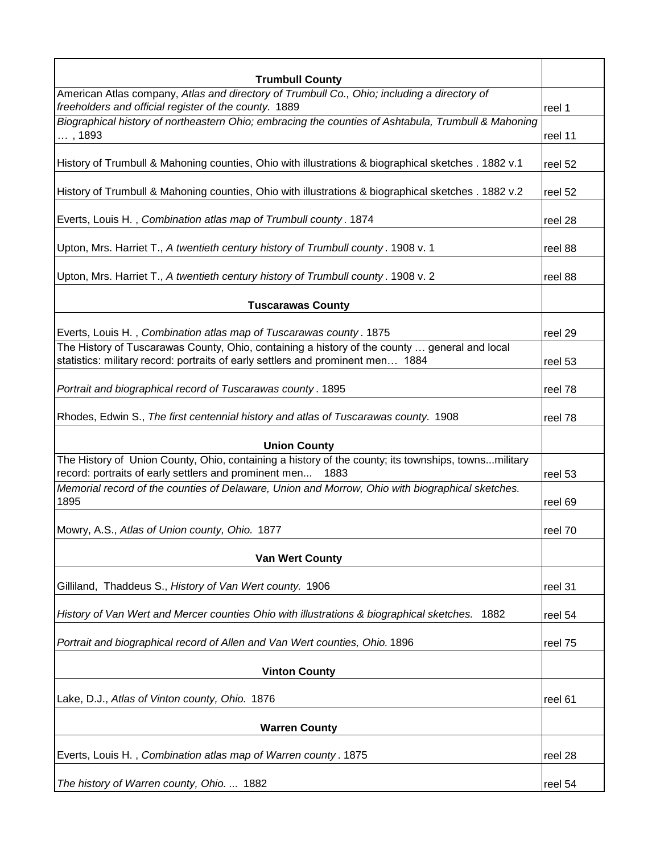| <b>Trumbull County</b><br>American Atlas company, Atlas and directory of Trumbull Co., Ohio; including a directory of |         |
|-----------------------------------------------------------------------------------------------------------------------|---------|
| freeholders and official register of the county. 1889                                                                 | reel 1  |
| Biographical history of northeastern Ohio; embracing the counties of Ashtabula, Trumbull & Mahoning                   |         |
| , 1893                                                                                                                | reel 11 |
|                                                                                                                       |         |
| History of Trumbull & Mahoning counties, Ohio with illustrations & biographical sketches . 1882 v.1                   | reel 52 |
|                                                                                                                       |         |
| History of Trumbull & Mahoning counties, Ohio with illustrations & biographical sketches . 1882 v.2                   | reel 52 |
|                                                                                                                       |         |
| Everts, Louis H., Combination atlas map of Trumbull county. 1874                                                      | reel 28 |
| Upton, Mrs. Harriet T., A twentieth century history of Trumbull county. 1908 v. 1                                     | reel 88 |
|                                                                                                                       |         |
| Upton, Mrs. Harriet T., A twentieth century history of Trumbull county. 1908 v. 2                                     | reel 88 |
|                                                                                                                       |         |
| <b>Tuscarawas County</b>                                                                                              |         |
|                                                                                                                       |         |
| Everts, Louis H., Combination atlas map of Tuscarawas county. 1875                                                    | reel 29 |
| The History of Tuscarawas County, Ohio, containing a history of the county  general and local                         |         |
| statistics: military record: portraits of early settlers and prominent men 1884                                       | reel 53 |
|                                                                                                                       |         |
| Portrait and biographical record of Tuscarawas county. 1895                                                           | reel 78 |
| Rhodes, Edwin S., The first centennial history and atlas of Tuscarawas county. 1908                                   | reel 78 |
|                                                                                                                       |         |
| <b>Union County</b>                                                                                                   |         |
| The History of Union County, Ohio, containing a history of the county; its townships, townsmilitary                   |         |
| record: portraits of early settlers and prominent men<br>1883                                                         | reel 53 |
| Memorial record of the counties of Delaware, Union and Morrow, Ohio with biographical sketches.                       |         |
| 1895                                                                                                                  | reel 69 |
|                                                                                                                       |         |
| Mowry, A.S., Atlas of Union county, Ohio. 1877                                                                        | reel 70 |
|                                                                                                                       |         |
| <b>Van Wert County</b>                                                                                                |         |
| Gilliland, Thaddeus S., History of Van Wert county. 1906                                                              | reel 31 |
|                                                                                                                       |         |
| History of Van Wert and Mercer counties Ohio with illustrations & biographical sketches.<br>1882                      | reel 54 |
|                                                                                                                       |         |
| Portrait and biographical record of Allen and Van Wert counties, Ohio. 1896                                           | reel 75 |
|                                                                                                                       |         |
| <b>Vinton County</b>                                                                                                  |         |
|                                                                                                                       |         |
| Lake, D.J., Atlas of Vinton county, Ohio. 1876                                                                        | reel 61 |
| <b>Warren County</b>                                                                                                  |         |
|                                                                                                                       |         |
| Everts, Louis H., Combination atlas map of Warren county. 1875                                                        | reel 28 |
|                                                                                                                       |         |
| The history of Warren county, Ohio.  1882                                                                             | reel 54 |